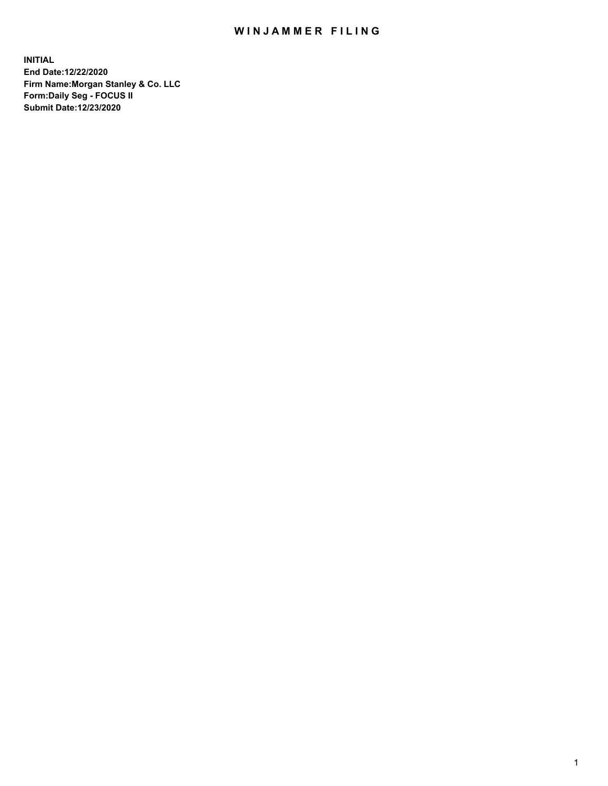## WIN JAMMER FILING

**INITIAL End Date:12/22/2020 Firm Name:Morgan Stanley & Co. LLC Form:Daily Seg - FOCUS II Submit Date:12/23/2020**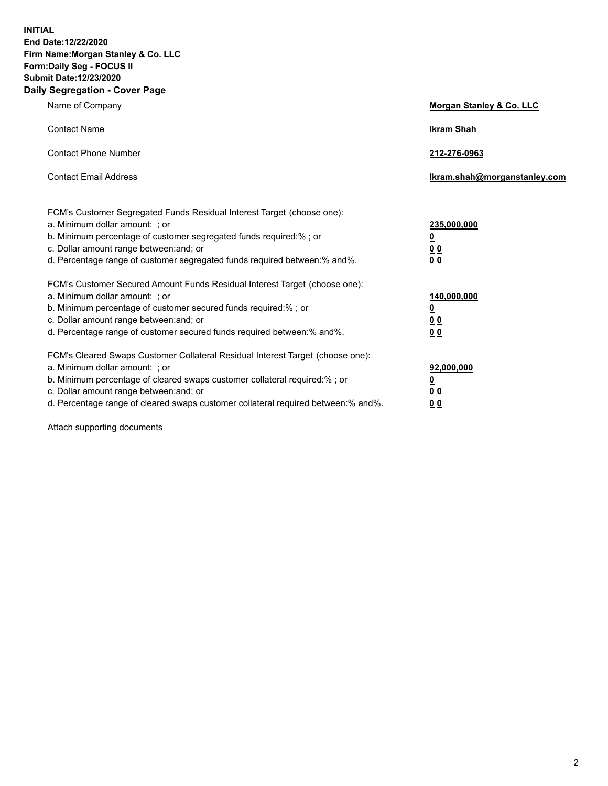**INITIAL End Date:12/22/2020 Firm Name:Morgan Stanley & Co. LLC Form:Daily Seg - FOCUS II Submit Date:12/23/2020 Daily Segregation - Cover Page**

| Name of Company                                                                                                                                                                                                                                                                                                                | Morgan Stanley & Co. LLC                               |
|--------------------------------------------------------------------------------------------------------------------------------------------------------------------------------------------------------------------------------------------------------------------------------------------------------------------------------|--------------------------------------------------------|
| <b>Contact Name</b>                                                                                                                                                                                                                                                                                                            | <b>Ikram Shah</b>                                      |
| <b>Contact Phone Number</b>                                                                                                                                                                                                                                                                                                    | 212-276-0963                                           |
| <b>Contact Email Address</b>                                                                                                                                                                                                                                                                                                   | Ikram.shah@morganstanley.com                           |
| FCM's Customer Segregated Funds Residual Interest Target (choose one):<br>a. Minimum dollar amount: ; or<br>b. Minimum percentage of customer segregated funds required:% ; or<br>c. Dollar amount range between: and; or<br>d. Percentage range of customer segregated funds required between: % and %.                       | 235,000,000<br><u>0</u><br>00<br>0 <sub>0</sub>        |
| FCM's Customer Secured Amount Funds Residual Interest Target (choose one):<br>a. Minimum dollar amount: ; or<br>b. Minimum percentage of customer secured funds required:%; or<br>c. Dollar amount range between: and; or<br>d. Percentage range of customer secured funds required between:% and%.                            | 140,000,000<br><u>0</u><br><u>00</u><br>0 <sub>0</sub> |
| FCM's Cleared Swaps Customer Collateral Residual Interest Target (choose one):<br>a. Minimum dollar amount: ; or<br>b. Minimum percentage of cleared swaps customer collateral required:% ; or<br>c. Dollar amount range between: and; or<br>d. Percentage range of cleared swaps customer collateral required between:% and%. | 92,000,000<br><u>0</u><br><u>00</u><br>0 <sub>0</sub>  |

Attach supporting documents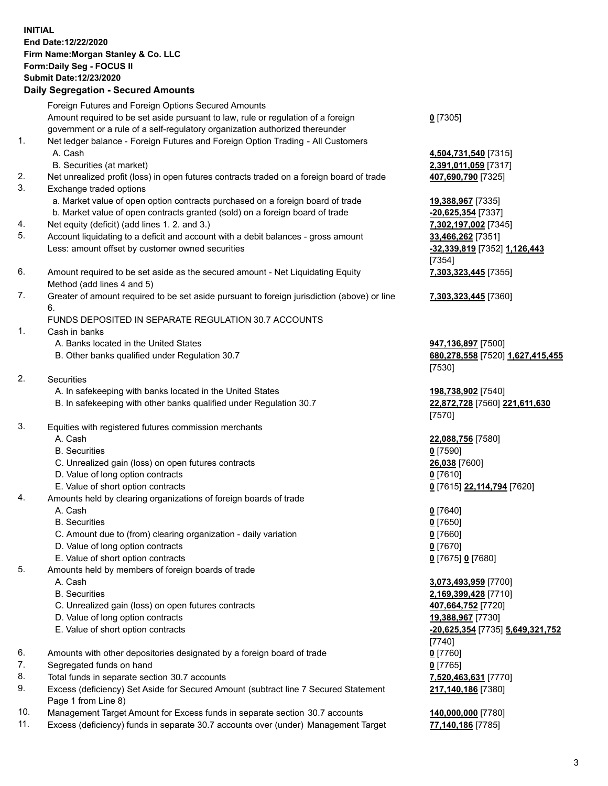## **INITIAL End Date:12/22/2020 Firm Name:Morgan Stanley & Co. LLC Form:Daily Seg - FOCUS II Submit Date:12/23/2020 Daily Segregation - Secured Amounts**

Foreign Futures and Foreign Options Secured Amounts

Amount required to be set aside pursuant to law, rule or regulation of a foreign government or a rule of a self-regulatory organization authorized thereunder

- 1. Net ledger balance Foreign Futures and Foreign Option Trading All Customers A. Cash **4,504,731,540** [7315]
	- B. Securities (at market) **2,391,011,059** [7317]
- 2. Net unrealized profit (loss) in open futures contracts traded on a foreign board of trade **407,690,790** [7325]
- 3. Exchange traded options
	- a. Market value of open option contracts purchased on a foreign board of trade **19,388,967** [7335]
	- b. Market value of open contracts granted (sold) on a foreign board of trade **-20,625,354** [7337]
- 4. Net equity (deficit) (add lines 1. 2. and 3.) **7,302,197,002** [7345]
- 5. Account liquidating to a deficit and account with a debit balances gross amount **33,466,262** [7351] Less: amount offset by customer owned securities **-32,339,819** [7352] **1,126,443**
- 6. Amount required to be set aside as the secured amount Net Liquidating Equity Method (add lines 4 and 5)
- 7. Greater of amount required to be set aside pursuant to foreign jurisdiction (above) or line 6.

## FUNDS DEPOSITED IN SEPARATE REGULATION 30.7 ACCOUNTS

- 1. Cash in banks
	- A. Banks located in the United States **947,136,897** [7500]
	- B. Other banks qualified under Regulation 30.7 **680,278,558** [7520] **1,627,415,455**
- 2. Securities
	- A. In safekeeping with banks located in the United States **198,738,902** [7540]
	- B. In safekeeping with other banks qualified under Regulation 30.7 **22,872,728** [7560] **221,611,630**
- 3. Equities with registered futures commission merchants
	-
	- B. Securities **0** [7590]
	- C. Unrealized gain (loss) on open futures contracts **26,038** [7600]
	- D. Value of long option contracts **0** [7610]
	- E. Value of short option contracts **0** [7615] **22,114,794** [7620]
- 4. Amounts held by clearing organizations of foreign boards of trade
	- A. Cash **0** [7640]
	- B. Securities **0** [7650]
	- C. Amount due to (from) clearing organization daily variation **0** [7660]
	- D. Value of long option contracts **0** [7670]
	- E. Value of short option contracts **0** [7675] **0** [7680]
- 5. Amounts held by members of foreign boards of trade
	-
	-
	- C. Unrealized gain (loss) on open futures contracts **407,664,752** [7720]
	- D. Value of long option contracts **19,388,967** [7730]
	-
- 6. Amounts with other depositories designated by a foreign board of trade **0** [7760]
- 7. Segregated funds on hand **0** [7765]
- 8. Total funds in separate section 30.7 accounts **7,520,463,631** [7770]
- 9. Excess (deficiency) Set Aside for Secured Amount (subtract line 7 Secured Statement Page 1 from Line 8)
- 10. Management Target Amount for Excess funds in separate section 30.7 accounts **140,000,000** [7780]
- 11. Excess (deficiency) funds in separate 30.7 accounts over (under) Management Target **77,140,186** [7785]

**0** [7305]

[7354] **7,303,323,445** [7355]

**7,303,323,445** [7360]

[7530]

[7570]

A. Cash **22,088,756** [7580]

 A. Cash **3,073,493,959** [7700] B. Securities **2,169,399,428** [7710] E. Value of short option contracts **-20,625,354** [7735] **5,649,321,752** [7740] **217,140,186** [7380]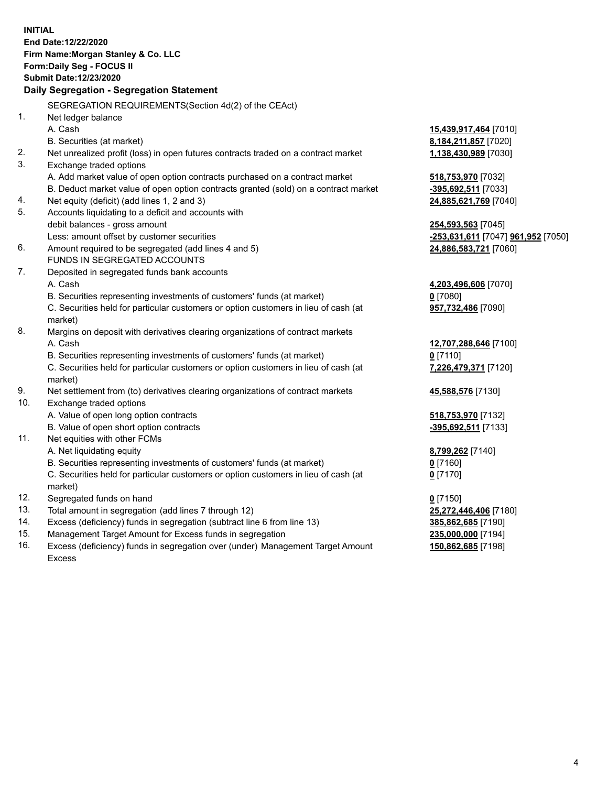|     | <b>INITIAL</b><br>End Date:12/22/2020<br>Firm Name: Morgan Stanley & Co. LLC<br>Form: Daily Seg - FOCUS II<br><b>Submit Date:12/23/2020</b><br>Daily Segregation - Segregation Statement |                                    |
|-----|------------------------------------------------------------------------------------------------------------------------------------------------------------------------------------------|------------------------------------|
|     | SEGREGATION REQUIREMENTS(Section 4d(2) of the CEAct)                                                                                                                                     |                                    |
| 1.  | Net ledger balance                                                                                                                                                                       |                                    |
|     | A. Cash                                                                                                                                                                                  | 15,439,917,464 [7010]              |
|     | B. Securities (at market)                                                                                                                                                                | 8,184,211,857 [7020]               |
| 2.  | Net unrealized profit (loss) in open futures contracts traded on a contract market                                                                                                       | 1,138,430,989 [7030]               |
| 3.  | Exchange traded options                                                                                                                                                                  |                                    |
|     | A. Add market value of open option contracts purchased on a contract market                                                                                                              | 518,753,970 [7032]                 |
|     | B. Deduct market value of open option contracts granted (sold) on a contract market                                                                                                      | -395,692,511 [7033]                |
| 4.  | Net equity (deficit) (add lines 1, 2 and 3)                                                                                                                                              | 24,885,621,769 [7040]              |
| 5.  | Accounts liquidating to a deficit and accounts with                                                                                                                                      |                                    |
|     | debit balances - gross amount                                                                                                                                                            | 254,593,563 [7045]                 |
|     | Less: amount offset by customer securities                                                                                                                                               | -253,631,611 [7047] 961,952 [7050] |
| 6.  | Amount required to be segregated (add lines 4 and 5)<br>FUNDS IN SEGREGATED ACCOUNTS                                                                                                     | 24,886,583,721 [7060]              |
| 7.  | Deposited in segregated funds bank accounts                                                                                                                                              |                                    |
|     | A. Cash                                                                                                                                                                                  | 4,203,496,606 [7070]               |
|     | B. Securities representing investments of customers' funds (at market)                                                                                                                   | $0$ [7080]                         |
|     | C. Securities held for particular customers or option customers in lieu of cash (at                                                                                                      | 957,732,486 [7090]                 |
|     | market)                                                                                                                                                                                  |                                    |
| 8.  | Margins on deposit with derivatives clearing organizations of contract markets                                                                                                           |                                    |
|     | A. Cash                                                                                                                                                                                  | 12,707,288,646 [7100]              |
|     | B. Securities representing investments of customers' funds (at market)                                                                                                                   | $0$ [7110]                         |
|     | C. Securities held for particular customers or option customers in lieu of cash (at                                                                                                      | 7,226,479,371 [7120]               |
|     | market)                                                                                                                                                                                  |                                    |
| 9.  | Net settlement from (to) derivatives clearing organizations of contract markets                                                                                                          | 45,588,576 [7130]                  |
| 10. | Exchange traded options                                                                                                                                                                  |                                    |
|     | A. Value of open long option contracts                                                                                                                                                   | 518,753,970 [7132]                 |
|     | B. Value of open short option contracts                                                                                                                                                  | -395,692,511 [7133]                |
| 11. | Net equities with other FCMs                                                                                                                                                             |                                    |
|     | A. Net liquidating equity                                                                                                                                                                | 8,799,262 [7140]                   |
|     | B. Securities representing investments of customers' funds (at market)                                                                                                                   | $0$ [7160]                         |
|     | C. Securities held for particular customers or option customers in lieu of cash (at                                                                                                      | $0$ [7170]                         |
|     | market)                                                                                                                                                                                  |                                    |
| 12. | Segregated funds on hand                                                                                                                                                                 | $0$ [7150]                         |
| 13. | Total amount in segregation (add lines 7 through 12)                                                                                                                                     | 25,272,446,406 [7180]              |
| 14. | Excess (deficiency) funds in segregation (subtract line 6 from line 13)                                                                                                                  | 385,862,685 [7190]                 |
| 15. | Management Target Amount for Excess funds in segregation                                                                                                                                 | 235,000,000 [7194]                 |
| 16. | Excess (deficiency) funds in segregation over (under) Management Target Amount<br><b>Excess</b>                                                                                          | 150,862,685 [7198]                 |
|     |                                                                                                                                                                                          |                                    |